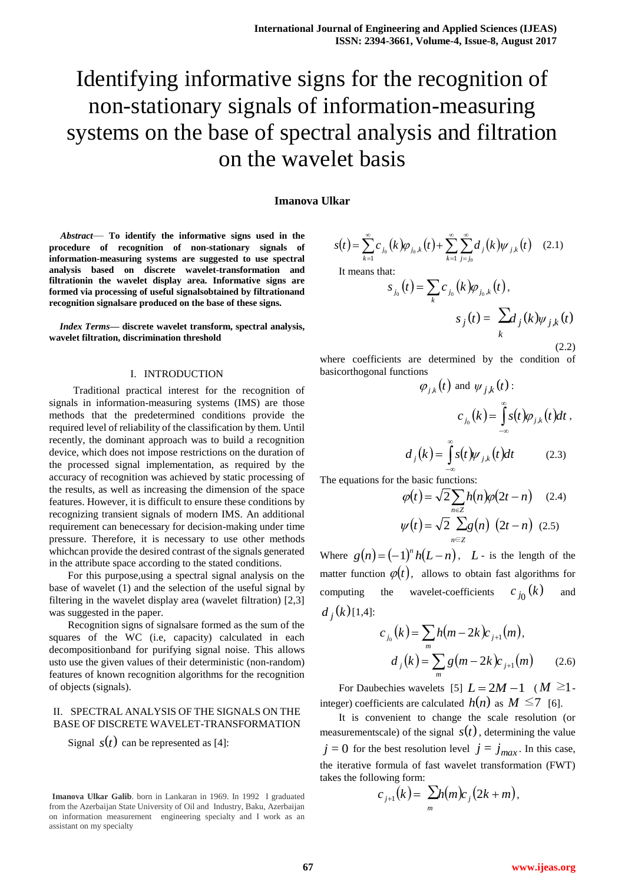# Identifying informative signs for the recognition of non-stationary signals of information-measuring systems on the base of spectral analysis and filtration on the wavelet basis

## **Imanova Ulkar**

*Abstract*— **To identify the informative signs used in the procedure of recognition of non-stationary signals of information-measuring systems are suggested to use spectral analysis based on discrete wavelet-transformation and filtrationin the wavelet display area. Informative signs are formed via processing of useful signalsobtained by filtrationand recognition signalsare produced on the base of these signs.**

*Index Terms***— discrete wavelet transform, spectral analysis, wavelet filtration, discrimination threshold**

## I. INTRODUCTION

 Traditional practical interest for the recognition of signals in information-measuring systems (IMS) are those methods that the predetermined conditions provide the required level of reliability of the classification by them. Until recently, the dominant approach was to build a recognition device, which does not impose restrictions on the duration of the processed signal implementation, as required by the accuracy of recognition was achieved by static processing of the results, as well as increasing the dimension of the space features. However, it is difficult to ensure these conditions by recognizing transient signals of modern IMS. An additional requirement can benecessary for decision-making under time pressure. Therefore, it is necessary to use other methods whichcan provide the desired contrast of the signals generated in the attribute space according to the stated conditions.

For this purpose,using a spectral signal analysis on the base of wavelet (1) and the selection of the useful signal by filtering in the wavelet display area (wavelet filtration) [2,3] was suggested in the paper.

Recognition signs of signalsare formed as the sum of the squares of the WC (i.e, capacity) calculated in each decompositionband for purifying signal noise. This allows usto use the given values of their deterministic (non-random) features of known recognition algorithms for the recognition of objects (signals).

### II. SPECTRAL ANALYSIS OF THE SIGNALS ON THE BASE OF DISCRETE WAVELET-TRANSFORMATION

Signal  $s(t)$  can be represented as [4]:

$$
s(t) = \sum_{k=1}^{\infty} c_{j_0}(k) \varphi_{j_0,k}(t) + \sum_{k=1}^{\infty} \sum_{j=j_0}^{\infty} d_j(k) \psi_{j,k}(t) \quad (2.1)
$$

It means that:

$$
s_{j_0}(t) = \sum_{k} c_{j_0}(k) \varphi_{j_0,k}(t),
$$

$$
s_j(t) = \sum_{k} d_j(k) \psi_{j,k}(t)
$$
(2.2)

where coefficients are determined by the condition of basicorthogonal functions

$$
\varphi_{j,k}(t) \text{ and } \psi_{j,k}(t):
$$

$$
c_{j_0}(k) = \int_{-\infty}^{\infty} s(t)\varphi_{j,k}(t)dt,
$$

$$
d_j(k) = \int_{-\infty}^{\infty} s(t)\psi_{j,k}(t)dt \qquad (2.3)
$$

The equations for the basic functions:

$$
\varphi(t) = \sqrt{2} \sum_{n \in \mathbb{Z}} h(n) \varphi(2t - n) \quad (2.4)
$$

$$
\psi(t) = \sqrt{2} \sum_{n \in \mathbb{Z}} g(n) \left(2t - n\right) \quad (2.5)
$$

Where  $g(n) = (-1)^n h(L-n)$ , L - is the length of the matter function  $\varphi(t)$ , allows to obtain fast algorithms for computing the wavelet-coefficients  $c_{j_0}(k)$ and  $d_j(k)$ [1,4]:

$$
c_{j_0}(k) = \sum_{m} h(m - 2k) c_{j+1}(m),
$$
  

$$
d_j(k) = \sum_{m} g(m - 2k) c_{j+1}(m) \qquad (2.6)
$$

For Daubechies wavelets [5]  $L = 2M - 1$  ( $M \ge 1$ . integer) coefficients are calculated  $h(n)$  as  $M \le 7$  [6].

It is convenient to change the scale resolution (or measurementscale) of the signal  $s(t)$ , determining the value  $j = 0$  for the best resolution level  $j = j_{max}$ . In this case, the iterative formula of fast wavelet transformation (FWT) takes the following form:

$$
c_{j+1}(k) = \sum_{m} h(m)c_j(2k+m),
$$

**Imanova Ulkar Galib**. born in Lankaran in 1969. In 1992 I graduated from the Azerbaijan State University of Oil and Industry, Baku, Azerbaijan on information measurement engineering specialty and I work as an assistant on my specialty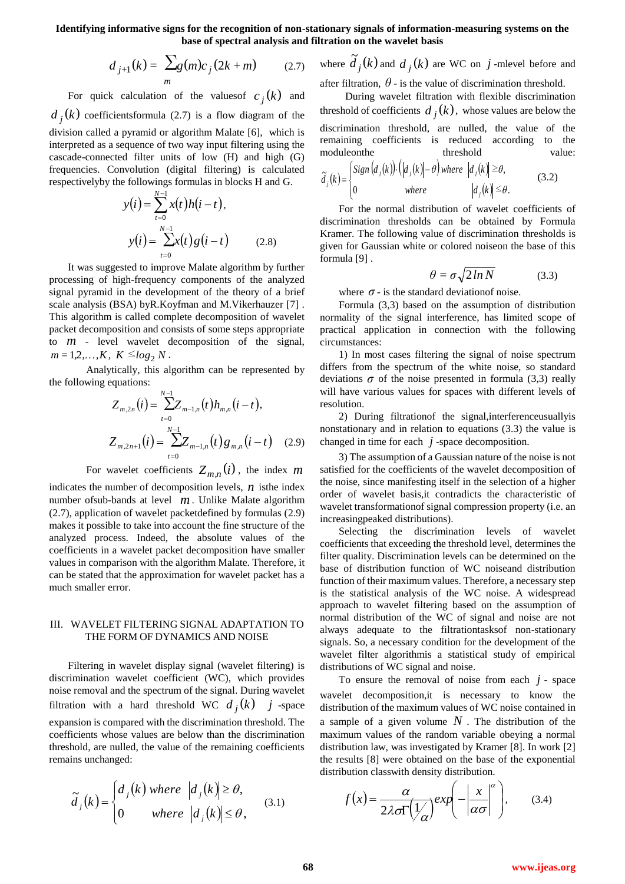**Identifying informative signs for the recognition of non-stationary signals of information-measuring systems on the base of spectral analysis and filtration on the wavelet basis**

$$
d_{j+1}(k) = \sum_{m} g(m)c_j (2k + m) \qquad (2.7)
$$

For quick calculation of the values of  $c_j(k)$  and  $d_j(k)$  coefficientsformula (2.7) is a flow diagram of the division called a pyramid or algorithm Malate [6], which is interpreted as a sequence of two way input filtering using the cascade-connected filter units of low (H) and high (G) frequencies. Convolution (digital filtering) is calculated respectivelyby the followings formulas in blocks H and G.

$$
y(i) = \sum_{t=0}^{N-1} x(t)h(i-t),
$$
  

$$
y(i) = \sum_{t=0}^{N-1} x(t)g(i-t)
$$
 (2.8)

It was suggested to improve Malate algorithm by further processing of high-frequency components of the analyzed signal pyramid in the development of the theory of a brief scale analysis (BSA) byR.Koyfman and M.Vikerhauzer [7] . This algorithm is called complete decomposition of wavelet packet decomposition and consists of some steps appropriate to  $m$  - level wavelet decomposition of the signal,  $m = 1, 2, \ldots, K, K \le \log_2 N$ .

Analytically, this algorithm can be represented by the following equations:

$$
Z_{m,2n}(i) = \sum_{t=0}^{N-1} Z_{m-1,n}(t) h_{m,n}(i-t),
$$
  

$$
Z_{m,2n+1}(i) = \sum_{t=0}^{N-1} Z_{m-1,n}(t) g_{m,n}(i-t) \quad (2.9)
$$

For wavelet coefficients  $Z_{m,n}(i)$ , the index m

indicates the number of decomposition levels,  $n$  is the index number ofsub-bands at level *m* . Unlike Malate algorithm (2.7), application of wavelet packetdefined by formulas (2.9) makes it possible to take into account the fine structure of the analyzed process. Indeed, the absolute values of the coefficients in a wavelet packet decomposition have smaller values in comparison with the algorithm Malate. Therefore, it can be stated that the approximation for wavelet packet has a much smaller error.

## III. WAVELET FILTERING SIGNAL ADAPTATION TO THE FORM OF DYNAMICS AND NOISE

Filtering in wavelet display signal (wavelet filtering) is discrimination wavelet coefficient (WC), which provides noise removal and the spectrum of the signal. During wavelet filtration with a hard threshold WC  $d_j(k)$  *j* -space expansion is compared with the discrimination threshold. The coefficients whose values are below than the discrimination threshold, are nulled, the value of the remaining coefficients remains unchanged:

$$
\tilde{d}_j(k) = \begin{cases} d_j(k) \text{ where } |d_j(k)| \ge \theta, \\ 0 \text{ where } |d_j(k)| \le \theta, \end{cases}
$$
\n(3.1)

where  $\tilde{d}_i(k)$  $j(k)$  and  $d_j(k)$  are WC on  $j$  -mlevel before and after filtration,  $\theta$  - is the value of discrimination threshold.

 During wavelet filtration with flexible discrimination threshold of coefficients  $d_j(k)$ , whose values are below the discrimination threshold, are nulled, the value of the remaining coefficients is reduced according to the moduleonthe threshold value:

$$
\tilde{d}_j(k) = \begin{cases}\nSign\left(d_j(k)\right) \cdot \left(\left|d_j(k)\right| - \theta\right) \text{ where } \left|d_j(k)\right| \geq \theta, \\
0 & \text{where } \left|d_j(k)\right| \leq \theta.\n\end{cases}
$$
\n(3.2)

For the normal distribution of wavelet coefficients of discrimination thresholds can be obtained by Formula Kramer. The following value of discrimination thresholds is given for Gaussian white or colored noiseon the base of this formula [9] .

$$
\theta = \sigma \sqrt{2 \ln N} \tag{3.3}
$$

where  $\sigma$  - is the standard deviation of noise.

Formula (3,3) based on the assumption of distribution normality of the signal interference, has limited scope of practical application in connection with the following circumstances:

1) In most cases filtering the signal of noise spectrum differs from the spectrum of the white noise, so standard deviations  $\sigma$  of the noise presented in formula (3,3) really will have various values for spaces with different levels of resolution.

2) During filtrationof the signal,interferenceusuallyis nonstationary and in relation to equations (3.3) the value is changed in time for each  $j$ -space decomposition.

3) The assumption of a Gaussian nature of the noise is not satisfied for the coefficients of the wavelet decomposition of the noise, since manifesting itself in the selection of a higher order of wavelet basis,it contradicts the characteristic of wavelet transformationof signal compression property (i.e. an increasingpeaked distributions).

Selecting the discrimination levels of wavelet coefficients that exceeding the threshold level, determines the filter quality. Discrimination levels can be determined on the base of distribution function of WC noiseand distribution function of their maximum values. Therefore, a necessary step is the statistical analysis of the WC noise. A widespread approach to wavelet filtering based on the assumption of normal distribution of the WC of signal and noise are not always adequate to the filtrationtasksof non-stationary signals. So, a necessary condition for the development of the wavelet filter algorithmis a statistical study of empirical distributions of WC signal and noise.

To ensure the removal of noise from each  $j$  - space wavelet decomposition,it is necessary to know the distribution of the maximum values of WC noise contained in a sample of a given volume  $N$ . The distribution of the maximum values of the random variable obeying a normal distribution law, was investigated by Kramer [8]. In work [2] the results [8] were obtained on the base of the exponential distribution classwith density distribution.

$$
f(x) = \frac{\alpha}{2\lambda\sigma\Gamma(\frac{1}{\alpha})}exp\left(-\left|\frac{x}{\alpha\sigma}\right|^{\alpha}\right),\qquad(3.4)
$$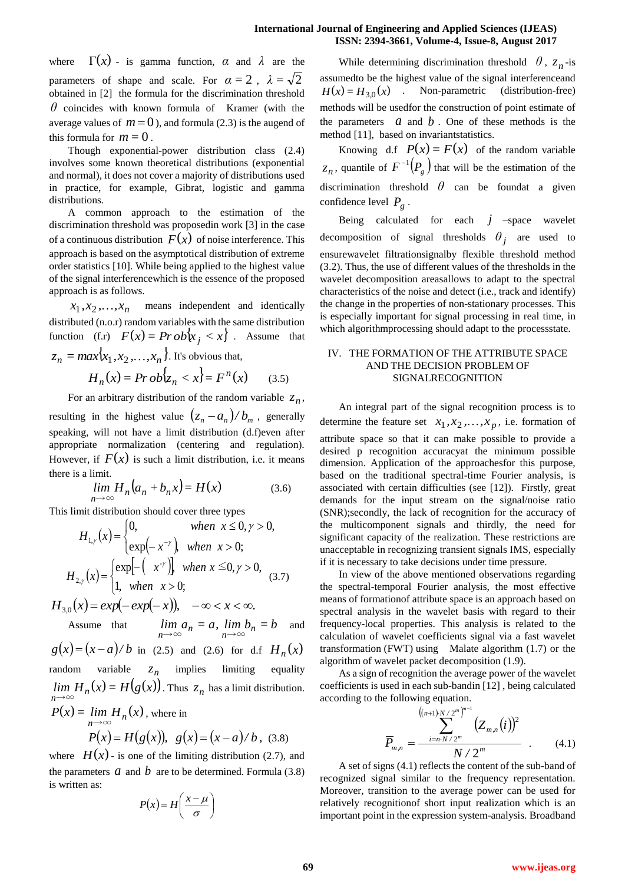where  $\Gamma(x)$  - is gamma function,  $\alpha$  and  $\lambda$  are the parameters of shape and scale. For  $\alpha = 2$ ,  $\lambda = \sqrt{2}$ obtained in [2] the formula for the discrimination threshold *θ* coincides with known formula of Kramer (with the average values of  $m = 0$ ), and formula (2.3) is the augend of this formula for  $m = 0$ .

Though exponential-power distribution class (2.4) involves some known theoretical distributions (exponential and normal), it does not cover a majority of distributions used in practice, for example, Gibrat, logistic and gamma distributions.

A common approach to the estimation of the discrimination threshold was proposedin work [3] in the case of a continuous distribution  $F(x)$  of noise interference. This approach is based on the asymptotical distribution of extreme order statistics [10]. While being applied to the highest value of the signal interferencewhich is the essence of the proposed approach is as follows.

 $x_1, x_2, \ldots, x_n$  means independent and identically distributed (n.o.r) random variables with the same distribution function (f.r)  $F(x) = Pr \, ob\{x_j < x\}$ . Assume that  ${z}_n = max\{x_1, x_2, \ldots, x_n\}$ . It's obvious that,

$$
H_n(x) = Pr \, ob \{ z_n < x \} = F^n(x) \qquad (3.5)
$$

For an arbitrary distribution of the random variable  $z_n$ , resulting in the highest value  $(z_n - a_n)/b_m$ , generally speaking, will not have a limit distribution (d.f)even after appropriate normalization (centering and regulation). However, if  $F(x)$  is such a limit distribution, i.e. it means there is a limit.

$$
\lim_{n \to \infty} H_n(a_n + b_n x) = H(x) \tag{3.6}
$$

This limit distribution should cover three types

$$
H_{1,\gamma}(x) = \begin{cases} 0, & when \ x \le 0, \gamma > 0, \\ exp(-x^{-\gamma}), & when \ x > 0; \end{cases}
$$
  
\n
$$
H_{2,\gamma}(x) = \begin{cases} exp[-\left(x^{-\gamma}\right)], & when \ x \le 0, \gamma > 0, \\ 1, & when \ x > 0; \end{cases}
$$
  
\n
$$
H_{3,0}(x) = exp(-exp(-x)), \quad -\infty < x < \infty.
$$
  
\nAssume that  $\lim_{n \to \infty} a_n = a, \lim_{n \to \infty} b_n = b$  and  $g(x) = (x - a)/b$  in (2.5) and (2.6) for d.f.  $H_n(x)$   
\nrandom variable  $z_n$  implies limiting equality  
\n $\lim_{n \to \infty} H_n(x) = H(g(x))$ . Thus  $z_n$  has a limit distribution.

$$
P(x) = \lim_{n \to \infty} H_n(x)
$$
, where in  

$$
P(x) = H(g(x)), g(x) = (x - a)/b, (3.8)
$$

where  $H(x)$ - is one of the limiting distribution (2.7), and the parameters  $a$  and  $b$  are to be determined. Formula (3.8) is written as:

$$
P(x) = H\left(\frac{x-\mu}{\sigma}\right)
$$

While determining discrimination threshold  $\theta$ ,  $z_n$ -is assumedto be the highest value of the signal interferenceand  $H(x) = H_{3,0}(x)$  . Non-parametric (distribution-free) methods will be usedfor the construction of point estimate of the parameters  $a$  and  $b$ . One of these methods is the method [11], based on invariantstatistics.

Knowing d.f  $P(x) = F(x)$  of the random variable  $z_n$ , quantile of  $F^{-1}(P_g)$  that will be the estimation of the discrimination threshold  $\theta$  can be foundat a given confidence level *Pg* .

Being calculated for each  $j$  –space wavelet decomposition of signal thresholds  $\theta_j$  are used to ensurewavelet filtrationsignalby flexible threshold method (3.2). Thus, the use of different values of the thresholds in the wavelet decomposition areasallows to adapt to the spectral characteristics of the noise and detect (i.e., track and identify) the change in the properties of non-stationary processes. This is especially important for signal processing in real time, in which algorithmprocessing should adapt to the processstate.

## IV. THE FORMATION OF THE ATTRIBUTE SPACE AND THE DECISION PROBLEM OF SIGNALRECOGNITION

An integral part of the signal recognition process is to determine the feature set  $x_1, x_2, \ldots, x_p$ , i.e. formation of attribute space so that it can make possible to provide a desired p recognition accuracyat the minimum possible dimension. Application of the approachesfor this purpose, based on the traditional spectral-time Fourier analysis, is associated with certain difficulties (see [12]). Firstly, great demands for the input stream on the signal/noise ratio (SNR);secondly, the lack of recognition for the accuracy of the multicomponent signals and thirdly, the need for significant capacity of the realization. These restrictions are unacceptable in recognizing transient signals IMS, especially if it is necessary to take decisions under time pressure.

In view of the above mentioned observations regarding the spectral-temporal Fourier analysis, the most effective means of formationof attribute space is an approach based on spectral analysis in the wavelet basis with regard to their frequency-local properties. This analysis is related to the calculation of wavelet coefficients signal via a fast wavelet transformation (FWT) using Malate algorithm (1.7) or the algorithm of wavelet packet decomposition (1.9).

As a sign of recognition the average power of the wavelet coefficients is used in each sub-bandin [12] , being calculated according to the following equation.

$$
\overline{P}_{m,n} = \frac{\sum_{i=n \cdot N/2^m}^{((n+1)N/2^m)^{m-1}} (Z_{m,n}(i))^2}{N/2^m}
$$
\n(4.1)

A set of signs (4.1) reflects the content of the sub-band of recognized signal similar to the frequency representation. Moreover, transition to the average power can be used for relatively recognitionof short input realization which is an important point in the expression system-analysis. Broadband